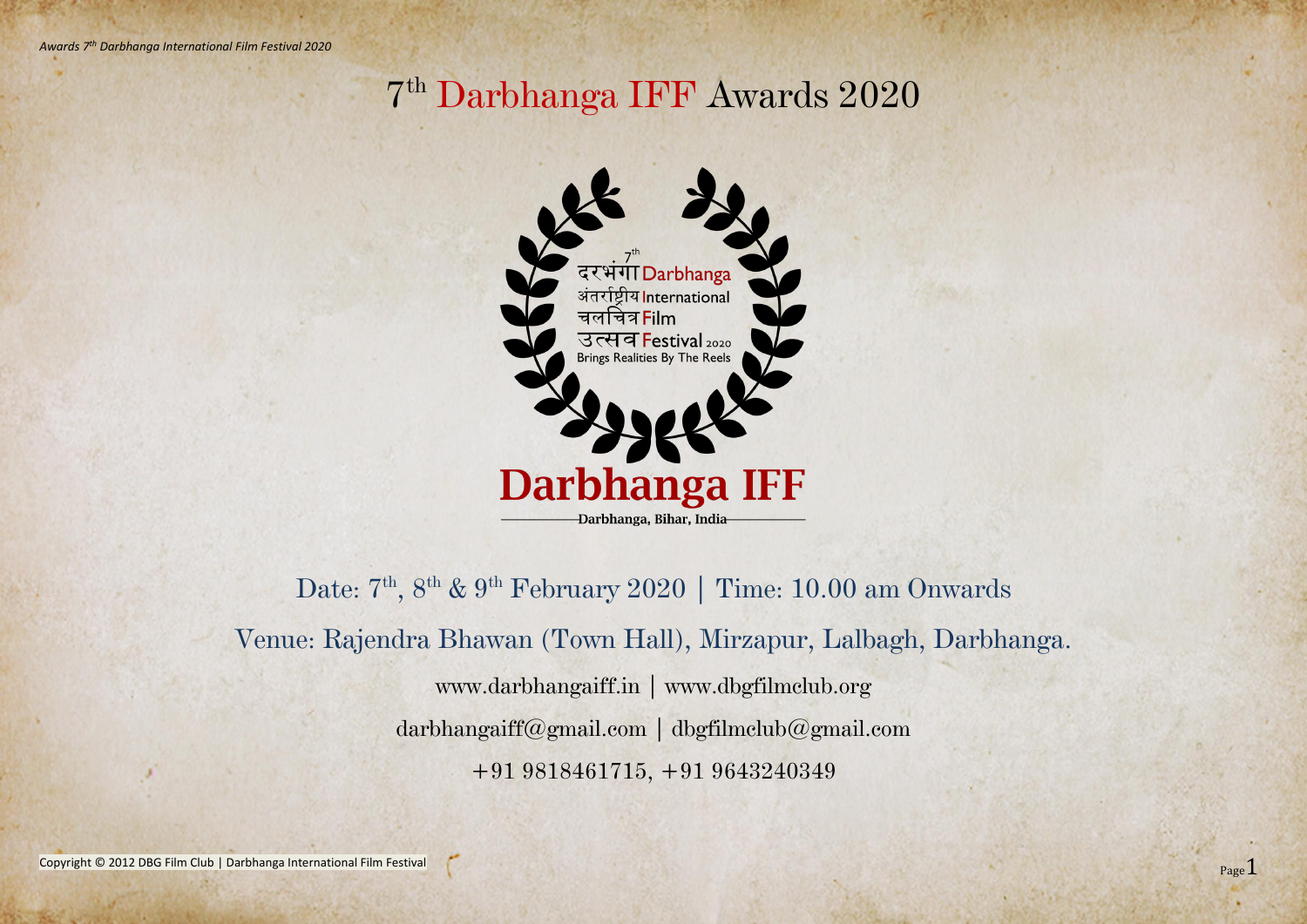Copyright © 2012 DBG Film Club | Darbhanga International Film Festival

## 7 th Darbhanga IFF Awards 2020



Date: 7<sup>th</sup>, 8<sup>th</sup> & 9<sup>th</sup> February 2020 | Time: 10.00 am Onwards Venue: Rajendra Bhawan (Town Hall), Mirzapur, Lalbagh, Darbhanga. www.darbhangaiff.in | www.dbgfilmclub.org darbhangaiff@gmail.com | dbgfilmclub@gmail.com +91 9818461715, +91 9643240349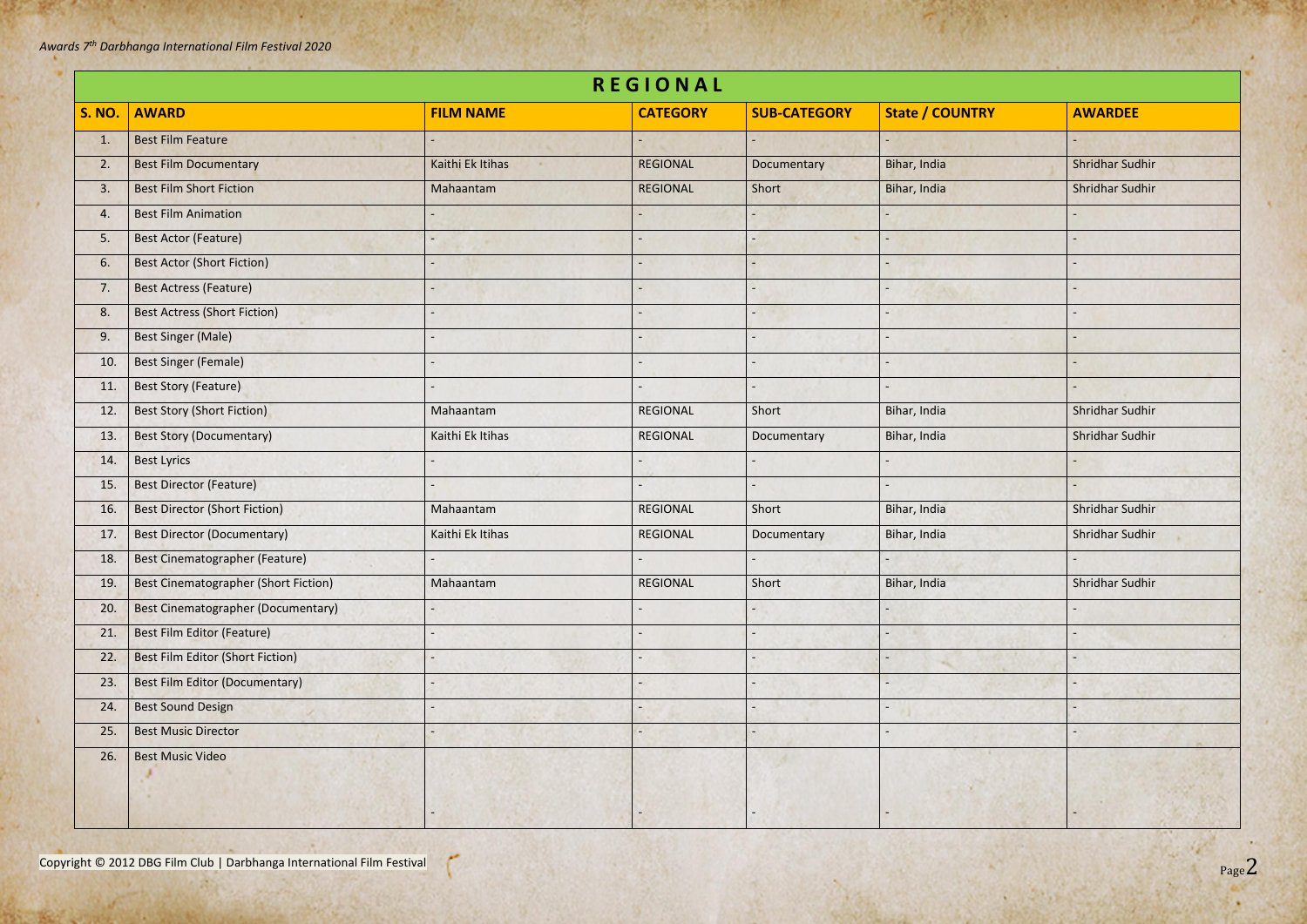Copyright © 2012 DBG Film Club | Darbhanga International Film Festival

f.

| <b>REGIONAL</b> |                                             |                  |                 |                     |                        |                        |  |  |
|-----------------|---------------------------------------------|------------------|-----------------|---------------------|------------------------|------------------------|--|--|
| <b>S. NO.</b>   | <b>AWARD</b>                                | <b>FILM NAME</b> | <b>CATEGORY</b> | <b>SUB-CATEGORY</b> | <b>State / COUNTRY</b> | <b>AWARDEE</b>         |  |  |
| 1.              | <b>Best Film Feature</b>                    |                  |                 |                     |                        |                        |  |  |
| 2.              | <b>Best Film Documentary</b>                | Kaithi Ek Itihas | <b>REGIONAL</b> | Documentary         | Bihar, India           | <b>Shridhar Sudhir</b> |  |  |
| 3.              | <b>Best Film Short Fiction</b>              | Mahaantam        | <b>REGIONAL</b> | Short               | Bihar, India           | Shridhar Sudhir        |  |  |
| 4.              | <b>Best Film Animation</b>                  |                  |                 |                     |                        |                        |  |  |
| 5.              | <b>Best Actor (Feature)</b>                 |                  |                 |                     |                        |                        |  |  |
| 6.              | <b>Best Actor (Short Fiction)</b>           |                  |                 |                     |                        |                        |  |  |
| 7.              | <b>Best Actress (Feature)</b>               |                  |                 |                     |                        |                        |  |  |
| 8.              | <b>Best Actress (Short Fiction)</b>         |                  |                 |                     |                        |                        |  |  |
| 9.              | <b>Best Singer (Male)</b>                   |                  |                 |                     |                        |                        |  |  |
| 10.             | <b>Best Singer (Female)</b>                 |                  |                 |                     |                        |                        |  |  |
| 11.             | <b>Best Story (Feature)</b>                 |                  |                 |                     |                        |                        |  |  |
| 12.             | <b>Best Story (Short Fiction)</b>           | Mahaantam        | <b>REGIONAL</b> | Short               | Bihar, India           | Shridhar Sudhir        |  |  |
| 13.             | <b>Best Story (Documentary)</b>             | Kaithi Ek Itihas | <b>REGIONAL</b> | Documentary         | Bihar, India           | Shridhar Sudhir        |  |  |
| 14.             | <b>Best Lyrics</b>                          |                  |                 |                     |                        |                        |  |  |
| 15.             | <b>Best Director (Feature)</b>              |                  |                 |                     |                        |                        |  |  |
| 16.             | <b>Best Director (Short Fiction)</b>        | Mahaantam        | <b>REGIONAL</b> | Short               | Bihar, India           | Shridhar Sudhir        |  |  |
| 17.             | <b>Best Director (Documentary)</b>          | Kaithi Ek Itihas | <b>REGIONAL</b> | Documentary         | Bihar, India           | Shridhar Sudhir        |  |  |
| 18.             | Best Cinematographer (Feature)              |                  |                 |                     |                        |                        |  |  |
| 19.             | <b>Best Cinematographer (Short Fiction)</b> | Mahaantam        | <b>REGIONAL</b> | Short               | Bihar, India           | Shridhar Sudhir        |  |  |
| 20.             | Best Cinematographer (Documentary)          |                  |                 |                     |                        |                        |  |  |
| 21.             | Best Film Editor (Feature)                  |                  |                 |                     |                        |                        |  |  |
| 22.             | Best Film Editor (Short Fiction)            |                  |                 |                     |                        |                        |  |  |
| 23.             | <b>Best Film Editor (Documentary)</b>       |                  |                 |                     |                        |                        |  |  |
| 24.             | <b>Best Sound Design</b>                    |                  |                 |                     |                        |                        |  |  |
| 25.             | <b>Best Music Director</b>                  |                  |                 |                     |                        |                        |  |  |
| 26.             | <b>Best Music Video</b>                     |                  |                 |                     |                        |                        |  |  |
|                 |                                             |                  |                 |                     |                        |                        |  |  |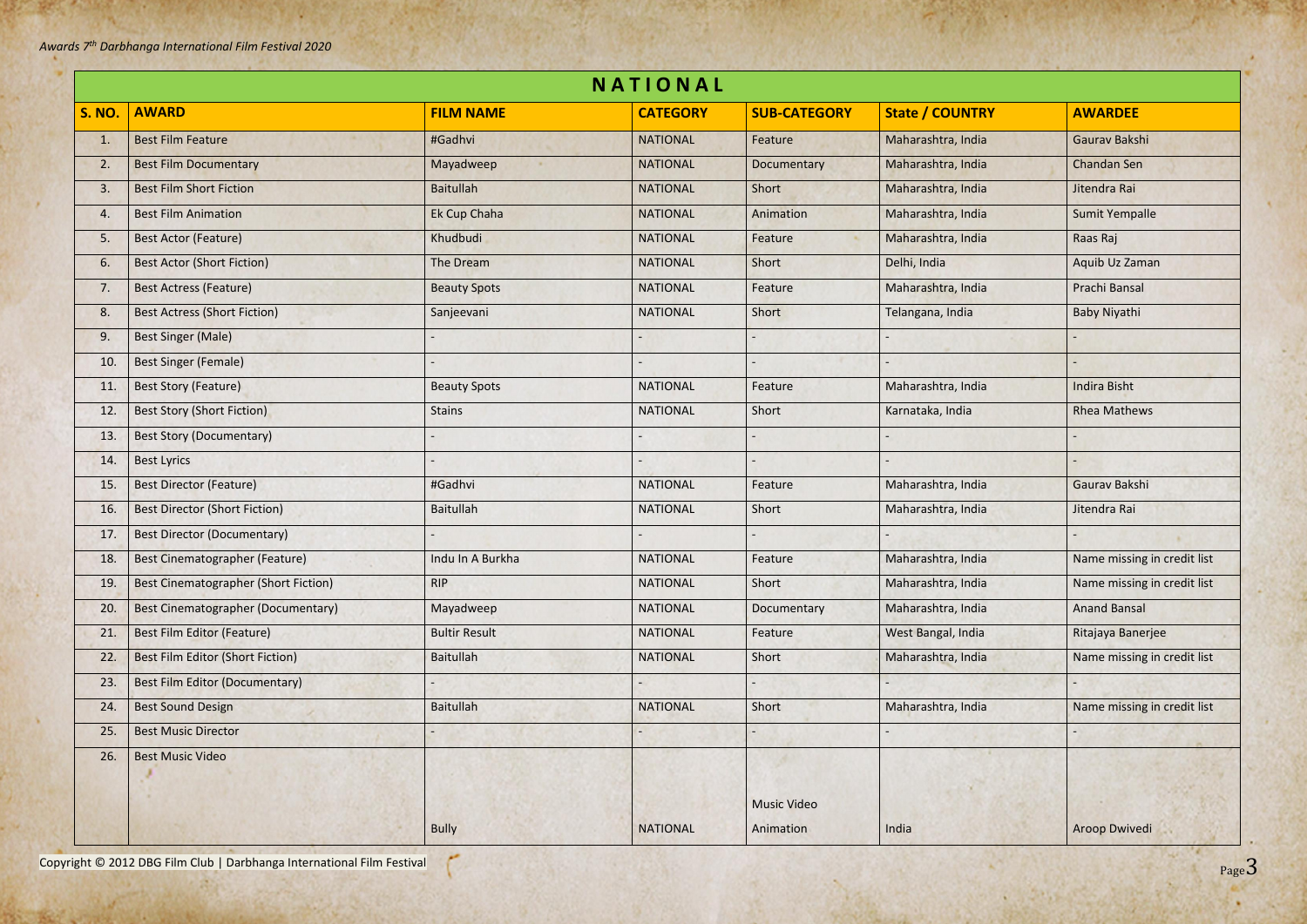Copyright © 2012 DBG Film Club | Darbhanga International Film Festival

| NATIONAL      |                                             |                      |                 |                     |                        |                             |  |
|---------------|---------------------------------------------|----------------------|-----------------|---------------------|------------------------|-----------------------------|--|
| <b>S. NO.</b> | <b>AWARD</b>                                | <b>FILM NAME</b>     | <b>CATEGORY</b> | <b>SUB-CATEGORY</b> | <b>State / COUNTRY</b> | <b>AWARDEE</b>              |  |
| 1.            | <b>Best Film Feature</b>                    | #Gadhvi              | <b>NATIONAL</b> | Feature             | Maharashtra, India     | Gaurav Bakshi               |  |
| 2.            | <b>Best Film Documentary</b>                | Mayadweep            | <b>NATIONAL</b> | Documentary         | Maharashtra, India     | Chandan Sen                 |  |
| 3.            | <b>Best Film Short Fiction</b>              | <b>Baitullah</b>     | <b>NATIONAL</b> | Short               | Maharashtra, India     | Jitendra Rai                |  |
| 4.            | <b>Best Film Animation</b>                  | Ek Cup Chaha         | <b>NATIONAL</b> | Animation           | Maharashtra, India     | <b>Sumit Yempalle</b>       |  |
| 5.            | <b>Best Actor (Feature)</b>                 | Khudbudi             | <b>NATIONAL</b> | Feature             | Maharashtra, India     | Raas Raj                    |  |
| 6.            | <b>Best Actor (Short Fiction)</b>           | The Dream            | <b>NATIONAL</b> | Short               | Delhi, India           | Aquib Uz Zaman              |  |
| 7.            | <b>Best Actress (Feature)</b>               | <b>Beauty Spots</b>  | <b>NATIONAL</b> | Feature             | Maharashtra, India     | Prachi Bansal               |  |
| 8.            | <b>Best Actress (Short Fiction)</b>         | Sanjeevani           | <b>NATIONAL</b> | Short               | Telangana, India       | Baby Niyathi                |  |
| 9.            | <b>Best Singer (Male)</b>                   |                      |                 |                     |                        |                             |  |
| 10.           | <b>Best Singer (Female)</b>                 |                      |                 |                     |                        |                             |  |
| 11.           | <b>Best Story (Feature)</b>                 | <b>Beauty Spots</b>  | <b>NATIONAL</b> | Feature             | Maharashtra, India     | <b>Indira Bisht</b>         |  |
| 12.           | <b>Best Story (Short Fiction)</b>           | <b>Stains</b>        | <b>NATIONAL</b> | Short               | Karnataka, India       | <b>Rhea Mathews</b>         |  |
| 13.           | <b>Best Story (Documentary)</b>             |                      |                 |                     |                        |                             |  |
| 14.           | <b>Best Lyrics</b>                          |                      |                 |                     |                        |                             |  |
| 15.           | <b>Best Director (Feature)</b>              | #Gadhvi              | <b>NATIONAL</b> | Feature             | Maharashtra, India     | Gaurav Bakshi               |  |
| 16.           | <b>Best Director (Short Fiction)</b>        | <b>Baitullah</b>     | <b>NATIONAL</b> | Short               | Maharashtra, India     | Jitendra Rai                |  |
| 17.           | <b>Best Director (Documentary)</b>          |                      |                 |                     |                        |                             |  |
| 18.           | Best Cinematographer (Feature)              | Indu In A Burkha     | <b>NATIONAL</b> | Feature             | Maharashtra, India     | Name missing in credit list |  |
| 19.           | <b>Best Cinematographer (Short Fiction)</b> | <b>RIP</b>           | <b>NATIONAL</b> | Short               | Maharashtra, India     | Name missing in credit list |  |
| 20.           | Best Cinematographer (Documentary)          | Mayadweep            | <b>NATIONAL</b> | Documentary         | Maharashtra, India     | <b>Anand Bansal</b>         |  |
| 21.           | <b>Best Film Editor (Feature)</b>           | <b>Bultir Result</b> | <b>NATIONAL</b> | Feature             | West Bangal, India     | Ritajaya Banerjee           |  |
| 22.           | <b>Best Film Editor (Short Fiction)</b>     | <b>Baitullah</b>     | <b>NATIONAL</b> | Short               | Maharashtra, India     | Name missing in credit list |  |
| 23.           | <b>Best Film Editor (Documentary)</b>       |                      |                 |                     |                        |                             |  |
| 24.           | <b>Best Sound Design</b>                    | <b>Baitullah</b>     | <b>NATIONAL</b> | Short               | Maharashtra, India     | Name missing in credit list |  |
| 25.           | <b>Best Music Director</b>                  |                      |                 |                     |                        |                             |  |
| 26.           | <b>Best Music Video</b>                     |                      |                 | <b>Music Video</b>  |                        |                             |  |
|               |                                             | <b>Bully</b>         | <b>NATIONAL</b> | Animation           | India                  | <b>Aroop Dwivedi</b>        |  |
|               |                                             |                      |                 |                     |                        |                             |  |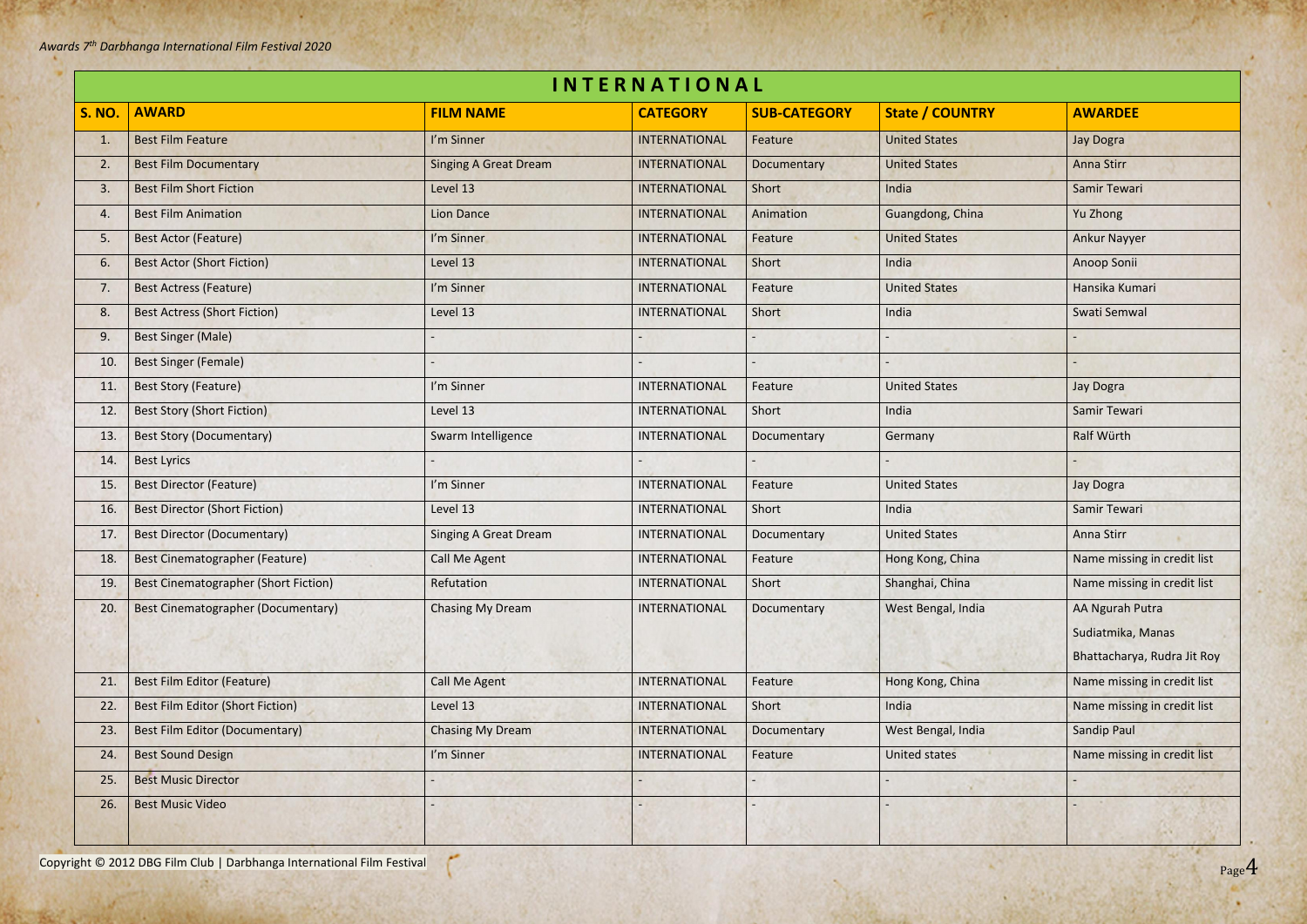Page4

| <b>INTERNATIONAL</b> |                                             |                              |                      |                     |                        |                             |  |  |
|----------------------|---------------------------------------------|------------------------------|----------------------|---------------------|------------------------|-----------------------------|--|--|
| <b>S. NO.</b>        | <b>AWARD</b>                                | <b>FILM NAME</b>             | <b>CATEGORY</b>      | <b>SUB-CATEGORY</b> | <b>State / COUNTRY</b> | <b>AWARDEE</b>              |  |  |
| 1.                   | <b>Best Film Feature</b>                    | I'm Sinner                   | <b>INTERNATIONAL</b> | Feature             | <b>United States</b>   | Jay Dogra                   |  |  |
| 2.                   | <b>Best Film Documentary</b>                | <b>Singing A Great Dream</b> | <b>INTERNATIONAL</b> | Documentary         | <b>United States</b>   | <b>Anna Stirr</b>           |  |  |
| 3.                   | <b>Best Film Short Fiction</b>              | Level 13                     | <b>INTERNATIONAL</b> | Short               | India                  | Samir Tewari                |  |  |
| 4.                   | <b>Best Film Animation</b>                  | <b>Lion Dance</b>            | <b>INTERNATIONAL</b> | Animation           | Guangdong, China       | Yu Zhong                    |  |  |
| 5.                   | <b>Best Actor (Feature)</b>                 | I'm Sinner                   | <b>INTERNATIONAL</b> | Feature             | <b>United States</b>   | <b>Ankur Nayyer</b>         |  |  |
| 6.                   | <b>Best Actor (Short Fiction)</b>           | Level 13                     | <b>INTERNATIONAL</b> | Short               | India                  | Anoop Sonii                 |  |  |
| 7.                   | <b>Best Actress (Feature)</b>               | I'm Sinner                   | <b>INTERNATIONAL</b> | Feature             | <b>United States</b>   | Hansika Kumari              |  |  |
| 8.                   | <b>Best Actress (Short Fiction)</b>         | Level 13                     | <b>INTERNATIONAL</b> | Short               | India                  | Swati Semwal                |  |  |
| 9.                   | <b>Best Singer (Male)</b>                   |                              |                      |                     |                        |                             |  |  |
| 10.                  | <b>Best Singer (Female)</b>                 |                              |                      |                     |                        |                             |  |  |
| 11.                  | <b>Best Story (Feature)</b>                 | I'm Sinner                   | INTERNATIONAL        | Feature             | <b>United States</b>   | <b>Jay Dogra</b>            |  |  |
| 12.                  | <b>Best Story (Short Fiction)</b>           | Level 13                     | <b>INTERNATIONAL</b> | Short               | India                  | Samir Tewari                |  |  |
| 13.                  | <b>Best Story (Documentary)</b>             | Swarm Intelligence           | INTERNATIONAL        | Documentary         | Germany                | Ralf Würth                  |  |  |
| 14.                  | <b>Best Lyrics</b>                          |                              |                      |                     |                        |                             |  |  |
| 15.                  | <b>Best Director (Feature)</b>              | I'm Sinner                   | <b>INTERNATIONAL</b> | Feature             | <b>United States</b>   | <b>Jay Dogra</b>            |  |  |
| 16.                  | <b>Best Director (Short Fiction)</b>        | Level 13                     | <b>INTERNATIONAL</b> | Short               | India                  | Samir Tewari                |  |  |
| 17.                  | <b>Best Director (Documentary)</b>          | <b>Singing A Great Dream</b> | <b>INTERNATIONAL</b> | Documentary         | <b>United States</b>   | Anna Stirr                  |  |  |
| 18.                  | Best Cinematographer (Feature)              | Call Me Agent                | <b>INTERNATIONAL</b> | Feature             | Hong Kong, China       | Name missing in credit list |  |  |
| 19.                  | <b>Best Cinematographer (Short Fiction)</b> | Refutation                   | INTERNATIONAL        | Short               | Shanghai, China        | Name missing in credit list |  |  |
| 20.                  | Best Cinematographer (Documentary)          | <b>Chasing My Dream</b>      | <b>INTERNATIONAL</b> | Documentary         | West Bengal, India     | AA Ngurah Putra             |  |  |
|                      |                                             |                              |                      |                     |                        | Sudiatmika, Manas           |  |  |
|                      |                                             |                              |                      |                     |                        | Bhattacharya, Rudra Jit Roy |  |  |
| 21.                  | <b>Best Film Editor (Feature)</b>           | <b>Call Me Agent</b>         | <b>INTERNATIONAL</b> | Feature             | Hong Kong, China       | Name missing in credit list |  |  |
| 22.                  | <b>Best Film Editor (Short Fiction)</b>     | Level 13                     | <b>INTERNATIONAL</b> | Short               | India                  | Name missing in credit list |  |  |
| 23.                  | <b>Best Film Editor (Documentary)</b>       | <b>Chasing My Dream</b>      | <b>INTERNATIONAL</b> | Documentary         | West Bengal, India     | <b>Sandip Paul</b>          |  |  |
| 24.                  | <b>Best Sound Design</b>                    | I'm Sinner                   | <b>INTERNATIONAL</b> | Feature             | <b>United states</b>   | Name missing in credit list |  |  |
| 25.                  | <b>Best Music Director</b>                  |                              |                      |                     |                        |                             |  |  |
| 26.                  | <b>Best Music Video</b>                     |                              |                      |                     |                        |                             |  |  |
|                      |                                             |                              |                      |                     |                        |                             |  |  |